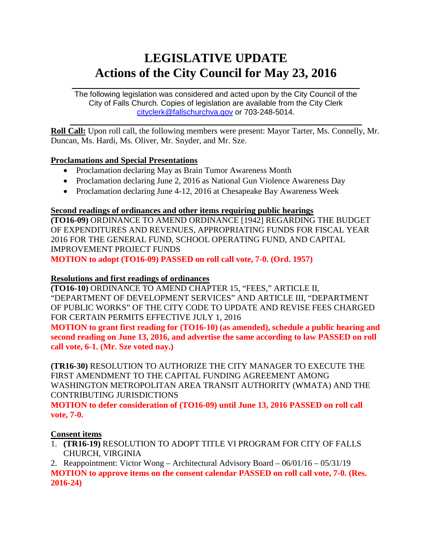# **LEGISLATIVE UPDATE Actions of the City Council for May 23, 2016**

 $\mathcal{L}_\text{max}$  and  $\mathcal{L}_\text{max}$  and  $\mathcal{L}_\text{max}$  and  $\mathcal{L}_\text{max}$  and  $\mathcal{L}_\text{max}$  and  $\mathcal{L}_\text{max}$ The following legislation was considered and acted upon by the City Council of the City of Falls Church. Copies of legislation are available from the City Clerk [cityclerk@fallschurchva.gov](mailto:cityclerk@fallschurchva.gov) or 703-248-5014.

 $\mathcal{L}_\text{max}$  and  $\mathcal{L}_\text{max}$  and  $\mathcal{L}_\text{max}$  and  $\mathcal{L}_\text{max}$  and  $\mathcal{L}_\text{max}$  and  $\mathcal{L}_\text{max}$ **Roll Call:** Upon roll call, the following members were present: Mayor Tarter, Ms. Connelly, Mr. Duncan, Ms. Hardi, Ms. Oliver, Mr. Snyder, and Mr. Sze.

# **Proclamations and Special Presentations**

- Proclamation declaring May as Brain Tumor Awareness Month
- Proclamation declaring June 2, 2016 as National Gun Violence Awareness Day
- Proclamation declaring June 4-12, 2016 at Chesapeake Bay Awareness Week

## **Second readings of ordinances and other items requiring public hearings**

**(TO16-09)** ORDINANCE TO AMEND ORDINANCE [1942] REGARDING THE BUDGET OF EXPENDITURES AND REVENUES, APPROPRIATING FUNDS FOR FISCAL YEAR 2016 FOR THE GENERAL FUND, SCHOOL OPERATING FUND, AND CAPITAL IMPROVEMENT PROJECT FUNDS

**MOTION to adopt (TO16-09) PASSED on roll call vote, 7-0. (Ord. 1957)**

## **Resolutions and first readings of ordinances**

**(TO16-10)** ORDINANCE TO AMEND CHAPTER 15, "FEES," ARTICLE II, "DEPARTMENT OF DEVELOPMENT SERVICES" AND ARTICLE III, "DEPARTMENT OF PUBLIC WORKS" OF THE CITY CODE TO UPDATE AND REVISE FEES CHARGED FOR CERTAIN PERMITS EFFECTIVE JULY 1, 2016

**MOTION to grant first reading for (TO16-10) (as amended), schedule a public hearing and second reading on June 13, 2016, and advertise the same according to law PASSED on roll call vote, 6-1. (Mr. Sze voted nay.)**

**(TR16-30)** RESOLUTION TO AUTHORIZE THE CITY MANAGER TO EXECUTE THE FIRST AMENDMENT TO THE CAPITAL FUNDING AGREEMENT AMONG WASHINGTON METROPOLITAN AREA TRANSIT AUTHORITY (WMATA) AND THE CONTRIBUTING JURISDICTIONS

**MOTION to defer consideration of (TO16-09) until June 13, 2016 PASSED on roll call vote, 7-0.**

#### **Consent items**

1. **(TR16-19)** RESOLUTION TO ADOPT TITLE VI PROGRAM FOR CITY OF FALLS CHURCH, VIRGINIA

2. Reappointment: Victor Wong – Architectural Advisory Board – 06/01/16 – 05/31/19 **MOTION to approve items on the consent calendar PASSED on roll call vote, 7-0. (Res. 2016-24)**